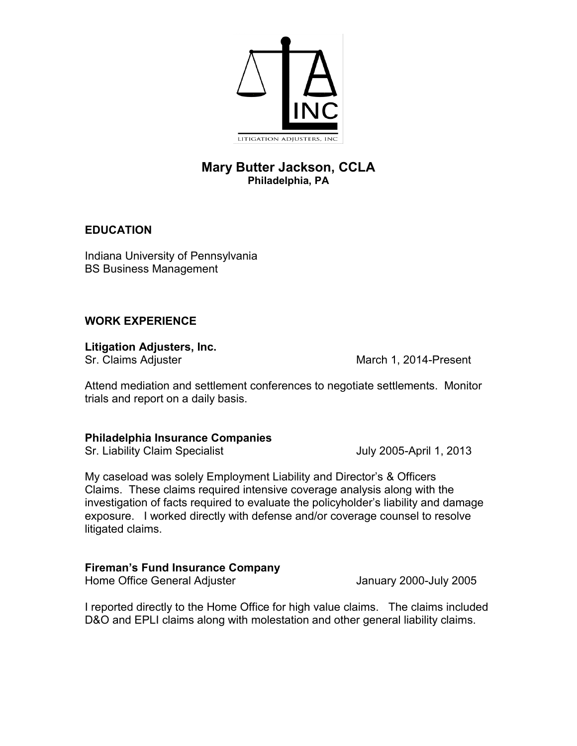

# **Mary Butter Jackson, CCLA Philadelphia, PA**

#### **EDUCATION**

Indiana University of Pennsylvania BS Business Management

#### **WORK EXPERIENCE**

**Litigation Adjusters, Inc.**

litigated claims.

Sr. Claims Adjuster March 1, 2014-Present

Attend mediation and settlement conferences to negotiate settlements. Monitor trials and report on a daily basis.

#### **Philadelphia Insurance Companies**

Sr. Liability Claim Specialist **Superint Claim Specialist** July 2005-April 1, 2013

My caseload was solely Employment Liability and Director's & Officers Claims. These claims required intensive coverage analysis along with the investigation of facts required to evaluate the policyholder's liability and damage exposure. I worked directly with defense and/or coverage counsel to resolve

## **Fireman's Fund Insurance Company**

Home Office General Adjuster **January 2000-July 2005** 

I reported directly to the Home Office for high value claims. The claims included D&O and EPLI claims along with molestation and other general liability claims.